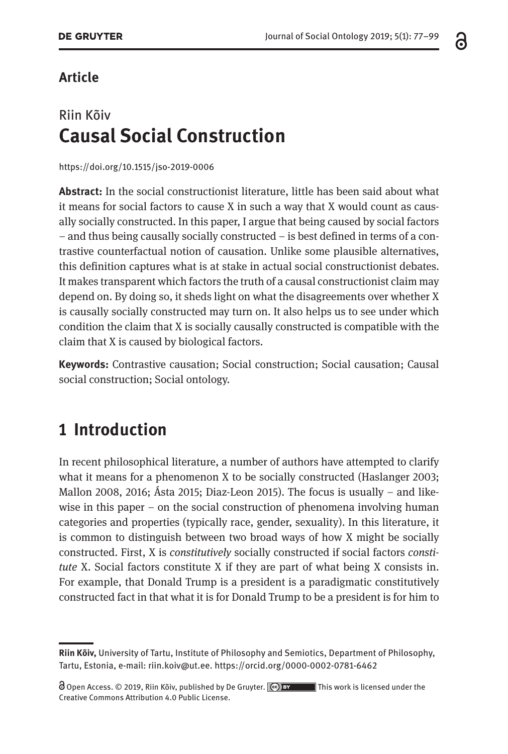### **Article**

## Riin Kõiv **Causal Social Construction**

<https://doi.org/10.1515/jso-2019-0006>

**Abstract:** In the social constructionist literature, little has been said about what it means for social factors to cause X in such a way that X would count as causally socially constructed. In this paper, I argue that being caused by social factors – and thus being causally socially constructed – is best defined in terms of a contrastive counterfactual notion of causation. Unlike some plausible alternatives, this definition captures what is at stake in actual social constructionist debates. It makes transparent which factors the truth of a causal constructionist claim may depend on. By doing so, it sheds light on what the disagreements over whether X is causally socially constructed may turn on. It also helps us to see under which condition the claim that X is socially causally constructed is compatible with the claim that X is caused by biological factors.

**Keywords:** Contrastive causation; Social construction; Social causation; Causal social construction; Social ontology.

## **1 Introduction**

In recent philosophical literature, a number of authors have attempted to clarify what it means for a phenomenon X to be socially constructed (Haslanger 2003; Mallon 2008, 2016; Ásta 2015; Diaz-Leon 2015). The focus is usually – and likewise in this paper – on the social construction of phenomena involving human categories and properties (typically race, gender, sexuality). In this literature, it is common to distinguish between two broad ways of how X might be socially constructed. First, X is *constitutively* socially constructed if social factors *constitute* X. Social factors constitute X if they are part of what being X consists in. For example, that Donald Trump is a president is a paradigmatic constitutively constructed fact in that what it is for Donald Trump to be a president is for him to

**Riin Kõiv,** University of Tartu, Institute of Philosophy and Semiotics, Department of Philosophy, Tartu, Estonia, e-mail: [riin.koiv@ut.ee.](mailto:riin.koiv@ut.ee) <https://orcid.org/0000-0002-0781-6462>

Open Access. © 2019, Riin Kõiv, published by De Gruyter.  $\boxed{\text{e}$  BY This work is licensed under the Creative Commons Attribution 4.0 Public License.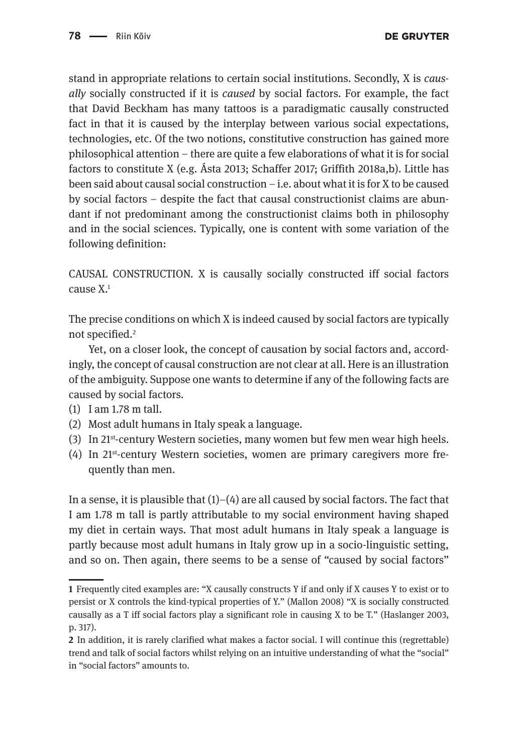stand in appropriate relations to certain social institutions. Secondly, X is *causally* socially constructed if it is *caused* by social factors. For example, the fact that David Beckham has many tattoos is a paradigmatic causally constructed fact in that it is caused by the interplay between various social expectations, technologies, etc. Of the two notions, constitutive construction has gained more philosophical attention – there are quite a few elaborations of what it is for social factors to constitute X (e.g. Ásta 2013; Schaffer 2017; Griffith 2018a,b). Little has been said about causal social construction – i.e. about what it is for X to be caused by social factors – despite the fact that causal constructionist claims are abundant if not predominant among the constructionist claims both in philosophy and in the social sciences. Typically, one is content with some variation of the following definition:

CAUSAL CONSTRUCTION. X is causally socially constructed iff social factors cause X.1

The precise conditions on which X is indeed caused by social factors are typically not specified.2

Yet, on a closer look, the concept of causation by social factors and, accordingly, the concept of causal construction are not clear at all. Here is an illustration of the ambiguity. Suppose one wants to determine if any of the following facts are caused by social factors.

- (1) I am 1.78 m tall.
- (2) Most adult humans in Italy speak a language.
- (3) In 21st-century Western societies, many women but few men wear high heels.
- (4) In 21st-century Western societies, women are primary caregivers more frequently than men.

In a sense, it is plausible that  $(1)$ – $(4)$  are all caused by social factors. The fact that I am 1.78 m tall is partly attributable to my social environment having shaped my diet in certain ways. That most adult humans in Italy speak a language is partly because most adult humans in Italy grow up in a socio-linguistic setting, and so on. Then again, there seems to be a sense of "caused by social factors"

**<sup>1</sup>** Frequently cited examples are: "X causally constructs Y if and only if X causes Y to exist or to persist or X controls the kind-typical properties of Y." (Mallon 2008) "X is socially constructed causally as a T iff social factors play a significant role in causing X to be T." (Haslanger 2003, p. 317).

**<sup>2</sup>** In addition, it is rarely clarified what makes a factor social. I will continue this (regrettable) trend and talk of social factors whilst relying on an intuitive understanding of what the "social" in "social factors" amounts to.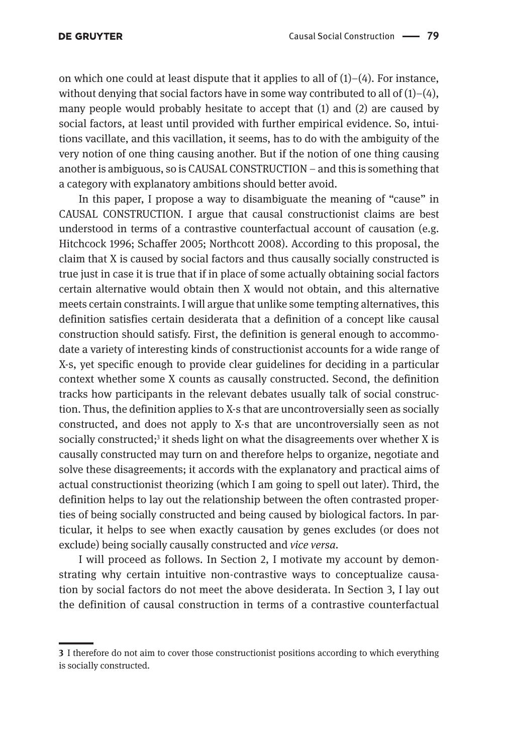on which one could at least dispute that it applies to all of  $(1)-(4)$ . For instance, without denying that social factors have in some way contributed to all of  $(1)-(4)$ , many people would probably hesitate to accept that (1) and (2) are caused by social factors, at least until provided with further empirical evidence. So, intuitions vacillate, and this vacillation, it seems, has to do with the ambiguity of the very notion of one thing causing another. But if the notion of one thing causing another is ambiguous, so is CAUSAL CONSTRUCTION – and this is something that a category with explanatory ambitions should better avoid.

In this paper, I propose a way to disambiguate the meaning of "cause" in CAUSAL CONSTRUCTION. I argue that causal constructionist claims are best understood in terms of a contrastive counterfactual account of causation (e.g. Hitchcock 1996; Schaffer 2005; Northcott 2008). According to this proposal, the claim that X is caused by social factors and thus causally socially constructed is true just in case it is true that if in place of some actually obtaining social factors certain alternative would obtain then X would not obtain, and this alternative meets certain constraints. I will argue that unlike some tempting alternatives, this definition satisfies certain desiderata that a definition of a concept like causal construction should satisfy. First, the definition is general enough to accommodate a variety of interesting kinds of constructionist accounts for a wide range of X-s, yet specific enough to provide clear guidelines for deciding in a particular context whether some X counts as causally constructed. Second, the definition tracks how participants in the relevant debates usually talk of social construction. Thus, the definition applies to X-s that are uncontroversially seen as socially constructed, and does not apply to X-s that are uncontroversially seen as not socially constructed;<sup>3</sup> it sheds light on what the disagreements over whether X is causally constructed may turn on and therefore helps to organize, negotiate and solve these disagreements; it accords with the explanatory and practical aims of actual constructionist theorizing (which I am going to spell out later). Third, the definition helps to lay out the relationship between the often contrasted properties of being socially constructed and being caused by biological factors. In particular, it helps to see when exactly causation by genes excludes (or does not exclude) being socially causally constructed and *vice versa.*

I will proceed as follows. In Section 2, I motivate my account by demonstrating why certain intuitive non-contrastive ways to conceptualize causation by social factors do not meet the above desiderata. In Section 3, I lay out the definition of causal construction in terms of a contrastive counterfactual

**<sup>3</sup>** I therefore do not aim to cover those constructionist positions according to which everything is socially constructed.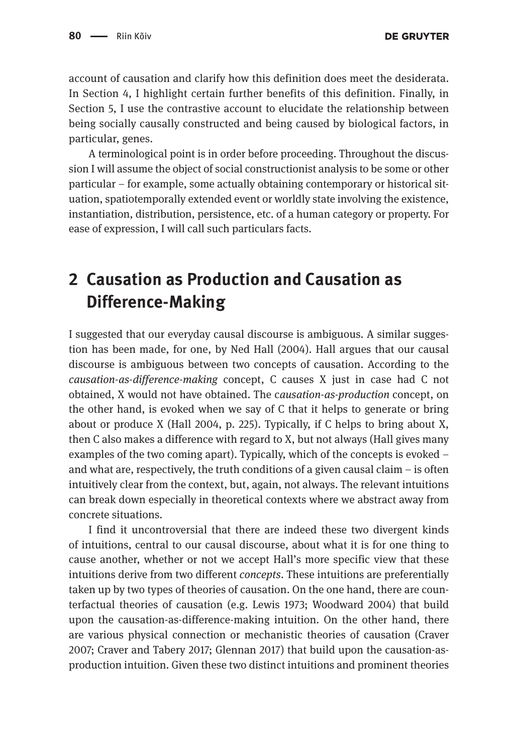account of causation and clarify how this definition does meet the desiderata. In Section 4, I highlight certain further benefits of this definition. Finally, in Section 5, I use the contrastive account to elucidate the relationship between being socially causally constructed and being caused by biological factors, in particular, genes.

A terminological point is in order before proceeding. Throughout the discussion I will assume the object of social constructionist analysis to be some or other particular – for example, some actually obtaining contemporary or historical situation, spatiotemporally extended event or worldly state involving the existence, instantiation, distribution, persistence, etc. of a human category or property. For ease of expression, I will call such particulars facts.

# **2 Causation as Production and Causation as Difference-Making**

I suggested that our everyday causal discourse is ambiguous. A similar suggestion has been made, for one, by Ned Hall (2004). Hall argues that our causal discourse is ambiguous between two concepts of causation. According to the *causation-as-difference-making* concept, C causes X just in case had C not obtained, X would not have obtained. The c*ausation-as-production* concept, on the other hand, is evoked when we say of C that it helps to generate or bring about or produce X (Hall 2004, p. 225). Typically, if C helps to bring about X, then C also makes a difference with regard to X, but not always (Hall gives many examples of the two coming apart). Typically, which of the concepts is evoked – and what are, respectively, the truth conditions of a given causal claim – is often intuitively clear from the context, but, again, not always. The relevant intuitions can break down especially in theoretical contexts where we abstract away from concrete situations.

I find it uncontroversial that there are indeed these two divergent kinds of intuitions, central to our causal discourse, about what it is for one thing to cause another, whether or not we accept Hall's more specific view that these intuitions derive from two different *concepts*. These intuitions are preferentially taken up by two types of theories of causation. On the one hand, there are counterfactual theories of causation (e.g. Lewis 1973; Woodward 2004) that build upon the causation-as-difference-making intuition. On the other hand, there are various physical connection or mechanistic theories of causation (Craver 2007; Craver and Tabery 2017; Glennan 2017) that build upon the causation-asproduction intuition. Given these two distinct intuitions and prominent theories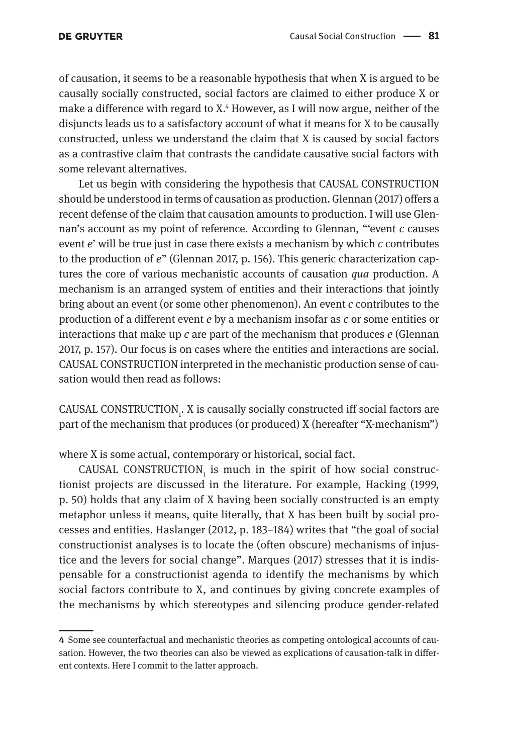of causation, it seems to be a reasonable hypothesis that when X is argued to be causally socially constructed, social factors are claimed to either produce X or make a difference with regard to X.4 However, as I will now argue, neither of the disjuncts leads us to a satisfactory account of what it means for X to be causally constructed, unless we understand the claim that X is caused by social factors as a contrastive claim that contrasts the candidate causative social factors with some relevant alternatives.

Let us begin with considering the hypothesis that CAUSAL CONSTRUCTION should be understood in terms of causation as production. Glennan (2017) offers a recent defense of the claim that causation amounts to production. I will use Glennan's account as my point of reference. According to Glennan, "'event *c* causes event *e*' will be true just in case there exists a mechanism by which *c* contributes to the production of *e*" (Glennan 2017, p. 156). This generic characterization captures the core of various mechanistic accounts of causation *qua* production. A mechanism is an arranged system of entities and their interactions that jointly bring about an event (or some other phenomenon). An event *c* contributes to the production of a different event *e* by a mechanism insofar as *c* or some entities or interactions that make up *c* are part of the mechanism that produces *e* (Glennan 2017, p. 157). Our focus is on cases where the entities and interactions are social. CAUSAL CONSTRUCTION interpreted in the mechanistic production sense of causation would then read as follows:

CAUSAL CONSTRUCTION<sub>1</sub>. X is causally socially constructed iff social factors are part of the mechanism that produces (or produced) X (hereafter "X-mechanism")

where X is some actual, contemporary or historical, social fact.

CAUSAL CONSTRUCTION $_1$  is much in the spirit of how social constructionist projects are discussed in the literature. For example, Hacking (1999, p. 50) holds that any claim of X having been socially constructed is an empty metaphor unless it means, quite literally, that X has been built by social processes and entities. Haslanger (2012, p. 183–184) writes that "the goal of social constructionist analyses is to locate the (often obscure) mechanisms of injustice and the levers for social change". Marques (2017) stresses that it is indispensable for a constructionist agenda to identify the mechanisms by which social factors contribute to X, and continues by giving concrete examples of the mechanisms by which stereotypes and silencing produce gender-related

**<sup>4</sup>** Some see counterfactual and mechanistic theories as competing ontological accounts of causation. However, the two theories can also be viewed as explications of causation-talk in different contexts. Here I commit to the latter approach.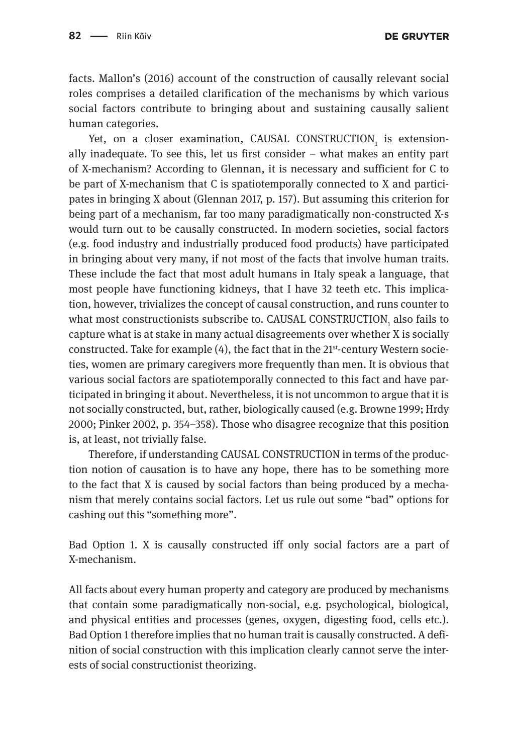**DE GRUYTER** 

facts. Mallon's (2016) account of the construction of causally relevant social roles comprises a detailed clarification of the mechanisms by which various social factors contribute to bringing about and sustaining causally salient human categories.

Yet, on a closer examination,  $\mathtt{CAUSAL}$   $\mathtt{CONSTRUCTION}_{_1}$  is extensionally inadequate. To see this, let us first consider – what makes an entity part of X-mechanism? According to Glennan, it is necessary and sufficient for C to be part of X-mechanism that C is spatiotemporally connected to X and participates in bringing X about (Glennan 2017, p. 157). But assuming this criterion for being part of a mechanism, far too many paradigmatically non-constructed X-s would turn out to be causally constructed. In modern societies, social factors (e.g. food industry and industrially produced food products) have participated in bringing about very many, if not most of the facts that involve human traits. These include the fact that most adult humans in Italy speak a language, that most people have functioning kidneys, that I have 32 teeth etc. This implication, however, trivializes the concept of causal construction, and runs counter to what most constructionists subscribe to. CAUSAL CONSTRUCTION $_{_{\rm 1}}$  also fails to capture what is at stake in many actual disagreements over whether X is socially constructed. Take for example  $(4)$ , the fact that in the 21<sup>st</sup>-century Western societies, women are primary caregivers more frequently than men. It is obvious that various social factors are spatiotemporally connected to this fact and have participated in bringing it about. Nevertheless, it is not uncommon to argue that it is not socially constructed, but, rather, biologically caused (e.g. Browne 1999; Hrdy 2000; Pinker 2002, p. 354–358). Those who disagree recognize that this position is, at least, not trivially false.

Therefore, if understanding CAUSAL CONSTRUCTION in terms of the production notion of causation is to have any hope, there has to be something more to the fact that X is caused by social factors than being produced by a mechanism that merely contains social factors. Let us rule out some "bad" options for cashing out this "something more".

Bad Option 1. X is causally constructed iff only social factors are a part of X-mechanism.

All facts about every human property and category are produced by mechanisms that contain some paradigmatically non-social, e.g. psychological, biological, and physical entities and processes (genes, oxygen, digesting food, cells etc.). Bad Option 1 therefore implies that no human trait is causally constructed. A definition of social construction with this implication clearly cannot serve the interests of social constructionist theorizing.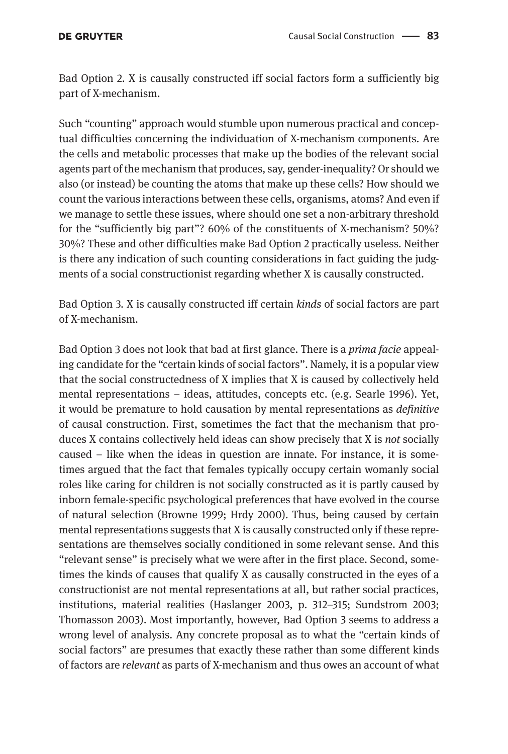Bad Option 2. X is causally constructed iff social factors form a sufficiently big part of X-mechanism.

Such "counting" approach would stumble upon numerous practical and conceptual difficulties concerning the individuation of X-mechanism components. Are the cells and metabolic processes that make up the bodies of the relevant social agents part of the mechanism that produces, say, gender-inequality? Or should we also (or instead) be counting the atoms that make up these cells? How should we count the various interactions between these cells, organisms, atoms? And even if we manage to settle these issues, where should one set a non-arbitrary threshold for the "sufficiently big part"? 60% of the constituents of X-mechanism? 50%? 30%? These and other difficulties make Bad Option 2 practically useless. Neither is there any indication of such counting considerations in fact guiding the judgments of a social constructionist regarding whether X is causally constructed.

Bad Option 3. X is causally constructed iff certain *kinds* of social factors are part of X-mechanism.

Bad Option 3 does not look that bad at first glance. There is a *prima facie* appealing candidate for the "certain kinds of social factors". Namely, it is a popular view that the social constructedness of X implies that X is caused by collectively held mental representations – ideas, attitudes, concepts etc. (e.g. Searle 1996). Yet, it would be premature to hold causation by mental representations as *definitive* of causal construction. First, sometimes the fact that the mechanism that produces X contains collectively held ideas can show precisely that X is *not* socially caused – like when the ideas in question are innate. For instance, it is sometimes argued that the fact that females typically occupy certain womanly social roles like caring for children is not socially constructed as it is partly caused by inborn female-specific psychological preferences that have evolved in the course of natural selection (Browne 1999; Hrdy 2000). Thus, being caused by certain mental representations suggests that X is causally constructed only if these representations are themselves socially conditioned in some relevant sense. And this "relevant sense" is precisely what we were after in the first place. Second, sometimes the kinds of causes that qualify X as causally constructed in the eyes of a constructionist are not mental representations at all, but rather social practices, institutions, material realities (Haslanger 2003, p. 312–315; Sundstrom 2003; Thomasson 2003). Most importantly, however, Bad Option 3 seems to address a wrong level of analysis. Any concrete proposal as to what the "certain kinds of social factors" are presumes that exactly these rather than some different kinds of factors are *relevant* as parts of X-mechanism and thus owes an account of what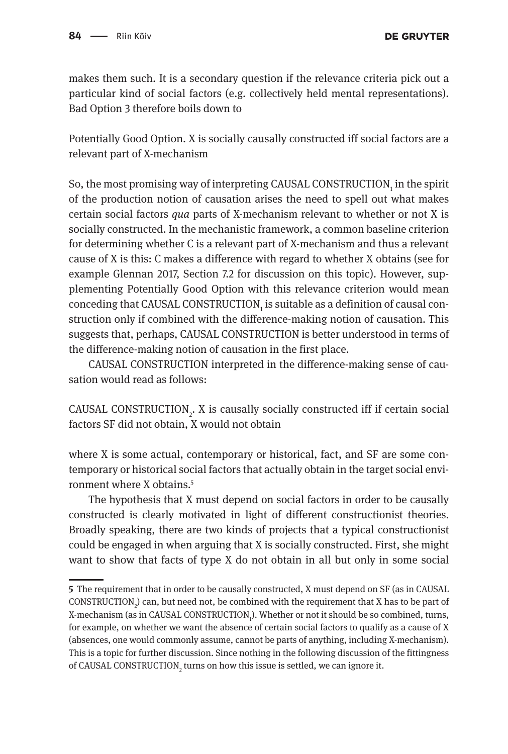makes them such. It is a secondary question if the relevance criteria pick out a particular kind of social factors (e.g. collectively held mental representations). Bad Option 3 therefore boils down to

Potentially Good Option. X is socially causally constructed iff social factors are a relevant part of X-mechanism

So, the most promising way of interpreting CAUSAL CONSTRUCTION<sub>1</sub> in the spirit of the production notion of causation arises the need to spell out what makes certain social factors *qua* parts of X-mechanism relevant to whether or not X is socially constructed. In the mechanistic framework, a common baseline criterion for determining whether C is a relevant part of X-mechanism and thus a relevant cause of X is this: C makes a difference with regard to whether X obtains (see for example Glennan 2017, Section 7.2 for discussion on this topic). However, supplementing Potentially Good Option with this relevance criterion would mean conceding that CAUSAL CONSTRUCTION $_{_{\rm 1}}$  is suitable as a definition of causal construction only if combined with the difference-making notion of causation. This suggests that, perhaps, CAUSAL CONSTRUCTION is better understood in terms of the difference-making notion of causation in the first place.

CAUSAL CONSTRUCTION interpreted in the difference-making sense of causation would read as follows:

CAUSAL CONSTRUCTION<sub>2</sub>. X is causally socially constructed iff if certain social factors SF did not obtain, X would not obtain

where X is some actual, contemporary or historical, fact, and SF are some contemporary or historical social factors that actually obtain in the target social environment where X obtains.5

The hypothesis that X must depend on social factors in order to be causally constructed is clearly motivated in light of different constructionist theories. Broadly speaking, there are two kinds of projects that a typical constructionist could be engaged in when arguing that X is socially constructed. First, she might want to show that facts of type X do not obtain in all but only in some social

**<sup>5</sup>** The requirement that in order to be causally constructed, X must depend on SF (as in CAUSAL CONSTRUCTION<sub>2</sub>) can, but need not, be combined with the requirement that X has to be part of X-mechanism (as in CAUSAL CONSTRUCTION<sub>1</sub>). Whether or not it should be so combined, turns, for example, on whether we want the absence of certain social factors to qualify as a cause of X (absences, one would commonly assume, cannot be parts of anything, including X-mechanism). This is a topic for further discussion. Since nothing in the following discussion of the fittingness of CAUSAL CONSTRUCTION<sub>2</sub> turns on how this issue is settled, we can ignore it.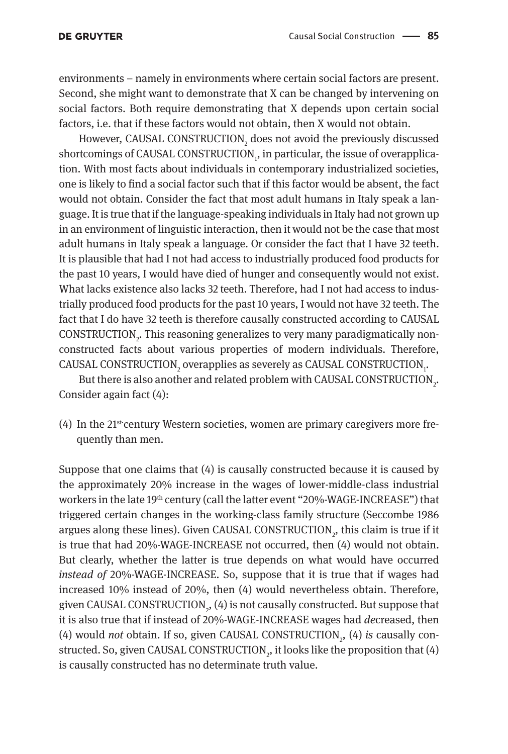environments – namely in environments where certain social factors are present. Second, she might want to demonstrate that X can be changed by intervening on social factors. Both require demonstrating that X depends upon certain social factors, i.e. that if these factors would not obtain, then X would not obtain.

However, CAUSAL CONSTRUCTION $_2$  does not avoid the previously discussed  ${\rm shortcoming}$  of CAUSAL CONSTRUCTION $_{_1}$ , in particular, the issue of overapplication. With most facts about individuals in contemporary industrialized societies, one is likely to find a social factor such that if this factor would be absent, the fact would not obtain. Consider the fact that most adult humans in Italy speak a language. It is true that if the language-speaking individuals in Italy had not grown up in an environment of linguistic interaction, then it would not be the case that most adult humans in Italy speak a language. Or consider the fact that I have 32 teeth. It is plausible that had I not had access to industrially produced food products for the past 10 years, I would have died of hunger and consequently would not exist. What lacks existence also lacks 32 teeth. Therefore, had I not had access to industrially produced food products for the past 10 years, I would not have 32 teeth. The fact that I do have 32 teeth is therefore causally constructed according to CAUSAL  $\text{CONSTRUCTION}_{2}$ . This reasoning generalizes to very many paradigmatically nonconstructed facts about various properties of modern individuals. Therefore, CAUSAL CONSTRUCTION $_2$  overapplies as severely as CAUSAL CONSTRUCTION $_{\rm i}$ .

But there is also another and related problem with CAUSAL CONSTRUCTION $_{\textrm{\tiny{2}}}$ . Consider again fact (4):

 $(4)$  In the 21<sup>st-</sup>century Western societies, women are primary caregivers more frequently than men.

Suppose that one claims that (4) is causally constructed because it is caused by the approximately 20% increase in the wages of lower-middle-class industrial workers in the late 19<sup>th</sup> century (call the latter event "20%-WAGE-INCREASE") that triggered certain changes in the working-class family structure (Seccombe 1986 argues along these lines). Given CAUSAL CONSTRUCTION<sub>2</sub>, this claim is true if it is true that had 20%-WAGE-INCREASE not occurred, then (4) would not obtain. But clearly, whether the latter is true depends on what would have occurred *instead of* 20%-WAGE-INCREASE. So, suppose that it is true that if wages had increased 10% instead of 20%, then (4) would nevertheless obtain. Therefore, given CAUSAL CONSTRUCTION<sub>2</sub>, (4) is not causally constructed. But suppose that it is also true that if instead of 20%-WAGE-INCREASE wages had *de*creased, then (4) would *not* obtain. If so, given CAUSAL CONSTRUCTION<sub>2</sub>, (4) is causally constructed. So, given CAUSAL CONSTRUCTION $_{2}$ , it looks like the proposition that (4) is causally constructed has no determinate truth value.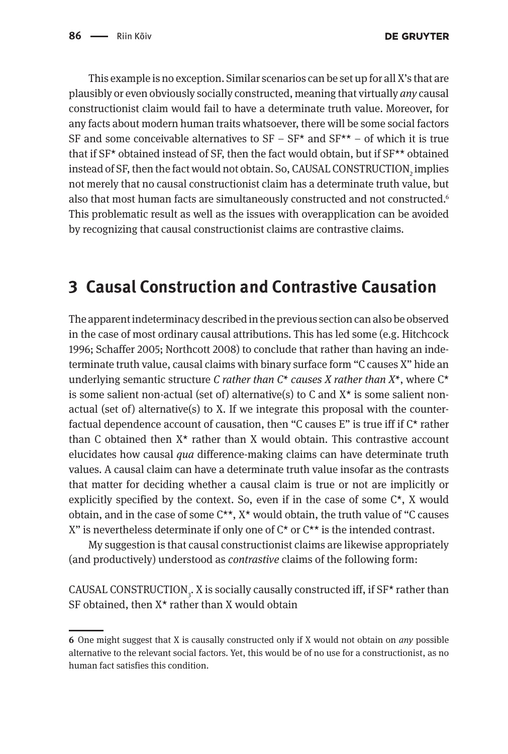This example is no exception. Similar scenarios can be set up for all X's that are plausibly or even obviously socially constructed, meaning that virtually *any* causal constructionist claim would fail to have a determinate truth value. Moreover, for any facts about modern human traits whatsoever, there will be some social factors SF and some conceivable alternatives to  $SF - SF^*$  and  $SF^{**} - of$  which it is true that if SF\* obtained instead of SF, then the fact would obtain, but if SF\*\* obtained instead of SF, then the fact would not obtain. So, CAUSAL CONSTRUCTION $_{_2}$  implies not merely that no causal constructionist claim has a determinate truth value, but also that most human facts are simultaneously constructed and not constructed.<sup>6</sup> This problematic result as well as the issues with overapplication can be avoided by recognizing that causal constructionist claims are contrastive claims.

### **3 Causal Construction and Contrastive Causation**

The apparent indeterminacy described in the previous section can also be observed in the case of most ordinary causal attributions. This has led some (e.g. Hitchcock 1996; Schaffer 2005; Northcott 2008) to conclude that rather than having an indeterminate truth value, causal claims with binary surface form "C causes X" hide an underlying semantic structure *C rather than C\* causes X rather than X\**, where C\* is some salient non-actual (set of) alternative(s) to C and  $X^*$  is some salient nonactual (set of) alternative(s) to X. If we integrate this proposal with the counterfactual dependence account of causation, then "C causes E" is true iff if  $C^*$  rather than C obtained then  $X^*$  rather than X would obtain. This contrastive account elucidates how causal *qua* difference-making claims can have determinate truth values. A causal claim can have a determinate truth value insofar as the contrasts that matter for deciding whether a causal claim is true or not are implicitly or explicitly specified by the context. So, even if in the case of some  $C^*$ , X would obtain, and in the case of some  $C^{**}$ ,  $X^*$  would obtain, the truth value of "C causes X" is nevertheless determinate if only one of  $C^*$  or  $C^{**}$  is the intended contrast.

My suggestion is that causal constructionist claims are likewise appropriately (and productively) understood as *contrastive* claims of the following form:

CAUSAL CONSTRUCTION<sub>3</sub>. X is socially causally constructed iff, if SF\* rather than SF obtained, then X\* rather than X would obtain

**<sup>6</sup>** One might suggest that X is causally constructed only if X would not obtain on *any* possible alternative to the relevant social factors. Yet, this would be of no use for a constructionist, as no human fact satisfies this condition.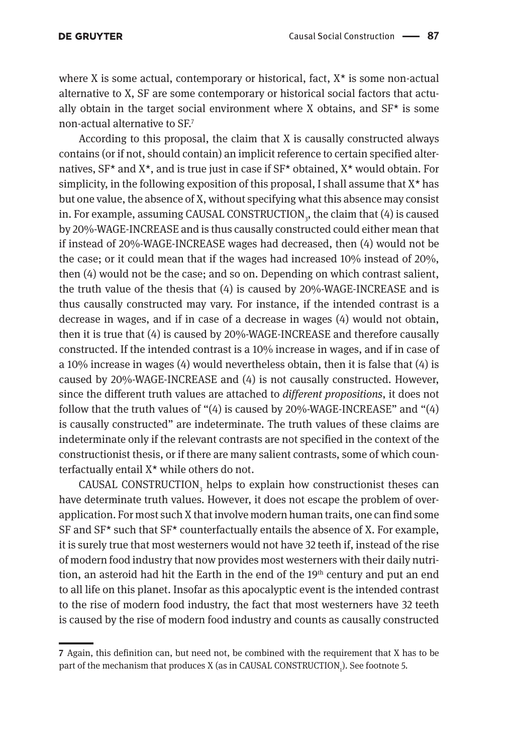#### **DE GRUYTER**

where X is some actual, contemporary or historical, fact,  $X^*$  is some non-actual alternative to X, SF are some contemporary or historical social factors that actually obtain in the target social environment where X obtains, and  $SF<sup>*</sup>$  is some non-actual alternative to SF.7

According to this proposal, the claim that X is causally constructed always contains (or if not, should contain) an implicit reference to certain specified alternatives, SF\* and X\*, and is true just in case if SF\* obtained, X\* would obtain. For simplicity, in the following exposition of this proposal, I shall assume that  $X^*$  has but one value, the absence of X, without specifying what this absence may consist in. For example, assuming CAUSAL CONSTRUCTION<sub>3</sub>, the claim that (4) is caused by 20%-WAGE-INCREASE and is thus causally constructed could either mean that if instead of 20%-WAGE-INCREASE wages had decreased, then (4) would not be the case; or it could mean that if the wages had increased 10% instead of 20%, then (4) would not be the case; and so on. Depending on which contrast salient, the truth value of the thesis that (4) is caused by 20%-WAGE-INCREASE and is thus causally constructed may vary. For instance, if the intended contrast is a decrease in wages, and if in case of a decrease in wages (4) would not obtain, then it is true that (4) is caused by 20%-WAGE-INCREASE and therefore causally constructed. If the intended contrast is a 10% increase in wages, and if in case of a 10% increase in wages (4) would nevertheless obtain, then it is false that (4) is caused by 20%-WAGE-INCREASE and (4) is not causally constructed. However, since the different truth values are attached to *different propositions*, it does not follow that the truth values of "(4) is caused by 20%-WAGE-INCREASE" and "(4) is causally constructed" are indeterminate. The truth values of these claims are indeterminate only if the relevant contrasts are not specified in the context of the constructionist thesis, or if there are many salient contrasts, some of which counterfactually entail X\* while others do not.

CAUSAL CONSTRUCTION $_3$  helps to explain how constructionist theses can have determinate truth values. However, it does not escape the problem of overapplication. For most such X that involve modern human traits, one can find some SF and  $SF<sup>*</sup>$  such that  $SF<sup>*</sup>$  counterfactually entails the absence of X. For example, it is surely true that most westerners would not have 32 teeth if, instead of the rise of modern food industry that now provides most westerners with their daily nutrition, an asteroid had hit the Earth in the end of the  $19<sup>th</sup>$  century and put an end to all life on this planet. Insofar as this apocalyptic event is the intended contrast to the rise of modern food industry, the fact that most westerners have 32 teeth is caused by the rise of modern food industry and counts as causally constructed

**<sup>7</sup>** Again, this definition can, but need not, be combined with the requirement that X has to be part of the mechanism that produces X (as in CAUSAL CONSTRUCTION<sub>1</sub>). See footnote 5.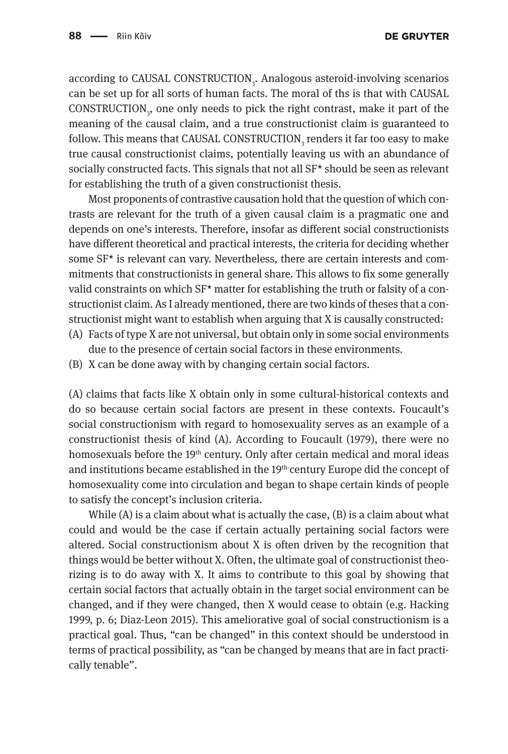according to CAUSAL CONSTRUCTION<sub>3</sub>. Analogous asteroid-involving scenarios can be set up for all sorts of human facts. The moral of ths is that with CAUSAL CONSTRUCTION<sub>3</sub>, one only needs to pick the right contrast, make it part of the meaning of the causal claim, and a true constructionist claim is guaranteed to follow. This means that CAUSAL CONSTRUCTION<sub>3</sub> renders it far too easy to make true causal constructionist claims, potentially leaving us with an abundance of socially constructed facts. This signals that not all SF\* should be seen as relevant for establishing the truth of a given constructionist thesis.

Most proponents of contrastive causation hold that the question of which contrasts are relevant for the truth of a given causal claim is a pragmatic one and depends on one's interests. Therefore, insofar as different social constructionists have different theoretical and practical interests, the criteria for deciding whether some SF\* is relevant can vary. Nevertheless, there are certain interests and commitments that constructionists in general share. This allows to fix some generally valid constraints on which  $SF<sup>*</sup>$  matter for establishing the truth or falsity of a constructionist claim. As I already mentioned, there are two kinds of theses that a constructionist might want to establish when arguing that X is causally constructed:

- (A) Facts of type X are not universal, but obtain only in some social environments due to the presence of certain social factors in these environments.
- (B) X can be done away with by changing certain social factors.

(A) claims that facts like X obtain only in some cultural-historical contexts and do so because certain social factors are present in these contexts. Foucault's social constructionism with regard to homosexuality serves as an example of a constructionist thesis of kind (A). According to Foucault (1979), there were no homosexuals before the 19<sup>th</sup> century. Only after certain medical and moral ideas and institutions became established in the 19<sup>th-</sup>century Europe did the concept of homosexuality come into circulation and began to shape certain kinds of people to satisfy the concept's inclusion criteria.

While  $(A)$  is a claim about what is actually the case,  $(B)$  is a claim about what could and would be the case if certain actually pertaining social factors were altered. Social constructionism about X is often driven by the recognition that things would be better without X. Often, the ultimate goal of constructionist theorizing is to do away with X. It aims to contribute to this goal by showing that certain social factors that actually obtain in the target social environment can be changed, and if they were changed, then X would cease to obtain (e.g. Hacking 1999, p. 6; Diaz-Leon 2015). This ameliorative goal of social constructionism is a practical goal. Thus, "can be changed" in this context should be understood in terms of practical possibility, as "can be changed by means that are in fact practically tenable".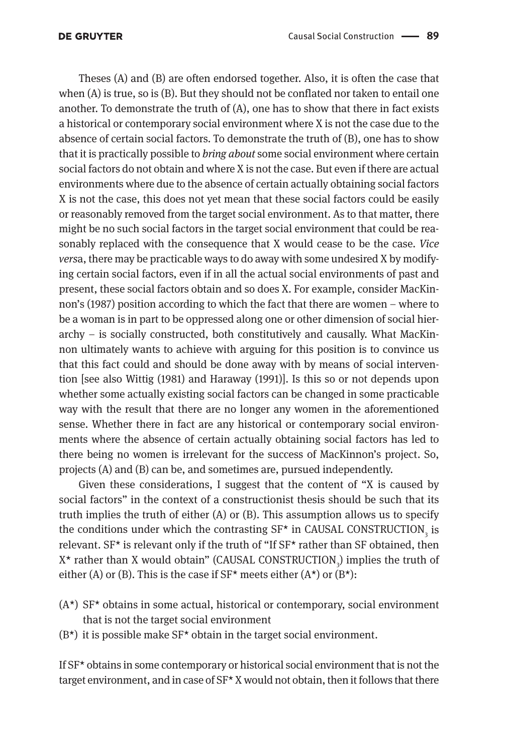#### **DE GRUYTER**

Theses (A) and (B) are often endorsed together. Also, it is often the case that when (A) is true, so is (B). But they should not be conflated nor taken to entail one another. To demonstrate the truth of (A), one has to show that there in fact exists a historical or contemporary social environment where X is not the case due to the absence of certain social factors. To demonstrate the truth of (B), one has to show that it is practically possible to *bring about* some social environment where certain social factors do not obtain and where X is not the case. But even if there are actual environments where due to the absence of certain actually obtaining social factors X is not the case, this does not yet mean that these social factors could be easily or reasonably removed from the target social environment. As to that matter, there might be no such social factors in the target social environment that could be reasonably replaced with the consequence that X would cease to be the case. *Vice vers*a, there may be practicable ways to do away with some undesired X by modifying certain social factors, even if in all the actual social environments of past and present, these social factors obtain and so does X. For example, consider MacKinnon's (1987) position according to which the fact that there are women – where to be a woman is in part to be oppressed along one or other dimension of social hierarchy – is socially constructed, both constitutively and causally. What MacKinnon ultimately wants to achieve with arguing for this position is to convince us that this fact could and should be done away with by means of social intervention [see also Wittig (1981) and Haraway (1991)]. Is this so or not depends upon whether some actually existing social factors can be changed in some practicable way with the result that there are no longer any women in the aforementioned sense. Whether there in fact are any historical or contemporary social environments where the absence of certain actually obtaining social factors has led to there being no women is irrelevant for the success of MacKinnon's project. So, projects (A) and (B) can be, and sometimes are, pursued independently.

Given these considerations, I suggest that the content of "X is caused by social factors" in the context of a constructionist thesis should be such that its truth implies the truth of either (A) or (B). This assumption allows us to specify the conditions under which the contrasting  $SF^*$  in CAUSAL CONSTRUCTION<sub>3</sub> is relevant. SF\* is relevant only if the truth of "If SF\* rather than SF obtained, then  $X^*$  rather than X would obtain" (CAUSAL CONSTRUCTION<sub>3</sub>) implies the truth of either (A) or (B). This is the case if  $SF<sup>*</sup>$  meets either (A\*) or (B\*):

- $(A^{\star})$  SF<sup>\*</sup> obtains in some actual, historical or contemporary, social environment that is not the target social environment
- $(B^*)$  it is possible make  $SF^*$  obtain in the target social environment.

If SF\* obtains in some contemporary or historical social environment that is not the target environment, and in case of SF\* X would not obtain, then it follows that there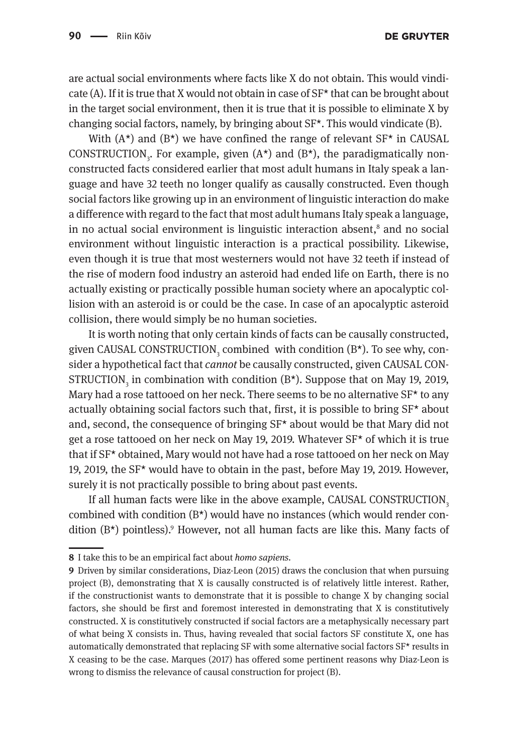are actual social environments where facts like X do not obtain. This would vindicate (A). If it is true that X would not obtain in case of  $SF<sup>*</sup>$  that can be brought about in the target social environment, then it is true that it is possible to eliminate X by changing social factors, namely, by bringing about  $SF<sup>*</sup>$ . This would vindicate (B).

With  $(A^*)$  and  $(B^*)$  we have confined the range of relevant  $SF^*$  in CAUSAL CONSTRUCTION<sub>3</sub>. For example, given  $(A^{\star})$  and  $(B^{\star})$ , the paradigmatically nonconstructed facts considered earlier that most adult humans in Italy speak a language and have 32 teeth no longer qualify as causally constructed. Even though social factors like growing up in an environment of linguistic interaction do make a difference with regard to the fact that most adult humans Italy speak a language, in no actual social environment is linguistic interaction absent, $^8$  and no social environment without linguistic interaction is a practical possibility. Likewise, even though it is true that most westerners would not have 32 teeth if instead of the rise of modern food industry an asteroid had ended life on Earth, there is no actually existing or practically possible human society where an apocalyptic collision with an asteroid is or could be the case. In case of an apocalyptic asteroid collision, there would simply be no human societies.

It is worth noting that only certain kinds of facts can be causally constructed, given CAUSAL CONSTRUCTION $\rm _{3}$  combined  $\rm$  with condition (B\*). To see why, consider a hypothetical fact that *cannot* be causally constructed, given CAUSAL CON-STRUCTION<sub>3</sub> in combination with condition  $(B^*)$ . Suppose that on May 19, 2019, Mary had a rose tattooed on her neck. There seems to be no alternative  $SF<sup>*</sup>$  to any actually obtaining social factors such that, first, it is possible to bring  $SF<sup>*</sup>$  about and, second, the consequence of bringing  $SF<sup>*</sup>$  about would be that Mary did not get a rose tattooed on her neck on May 19, 2019. Whatever SF\* of which it is true that if SF\* obtained, Mary would not have had a rose tattooed on her neck on May 19, 2019, the SF\* would have to obtain in the past, before May 19, 2019. However, surely it is not practically possible to bring about past events.

If all human facts were like in the above example, CAUSAL CONSTRUCTION<sub>3</sub> combined with condition  $(B^*)$  would have no instances (which would render condition (B\*) pointless).9 However, not all human facts are like this. Many facts of

**<sup>8</sup>** I take this to be an empirical fact about *homo sapiens.*

**<sup>9</sup>** Driven by similar considerations, Diaz-Leon (2015) draws the conclusion that when pursuing project (B), demonstrating that X is causally constructed is of relatively little interest. Rather, if the constructionist wants to demonstrate that it is possible to change X by changing social factors, she should be first and foremost interested in demonstrating that X is constitutively constructed. X is constitutively constructed if social factors are a metaphysically necessary part of what being X consists in. Thus, having revealed that social factors SF constitute X, one has automatically demonstrated that replacing SF with some alternative social factors SF\* results in X ceasing to be the case. Marques (2017) has offered some pertinent reasons why Diaz-Leon is wrong to dismiss the relevance of causal construction for project (B).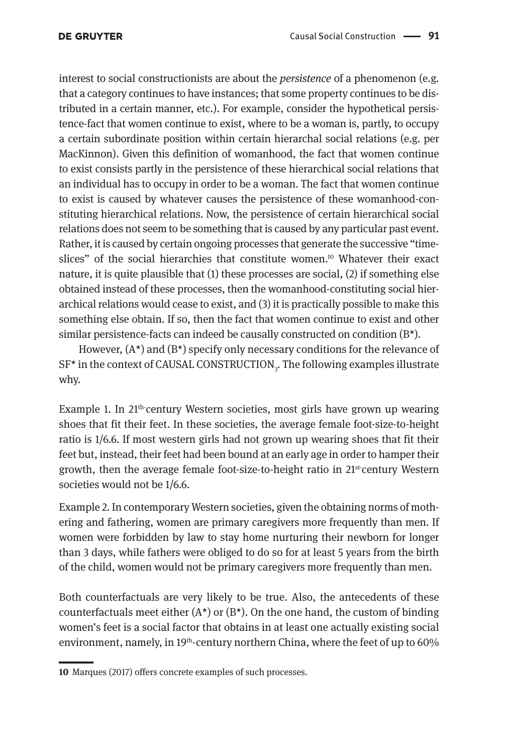interest to social constructionists are about the *persistence* of a phenomenon (e.g. that a category continues to have instances; that some property continues to be distributed in a certain manner, etc.). For example, consider the hypothetical persistence-fact that women continue to exist, where to be a woman is, partly, to occupy a certain subordinate position within certain hierarchal social relations (e.g. per MacKinnon). Given this definition of womanhood, the fact that women continue to exist consists partly in the persistence of these hierarchical social relations that an individual has to occupy in order to be a woman. The fact that women continue to exist is caused by whatever causes the persistence of these womanhood-constituting hierarchical relations. Now, the persistence of certain hierarchical social relations does not seem to be something that is caused by any particular past event. Rather, it is caused by certain ongoing processes that generate the successive "timeslices" of the social hierarchies that constitute women.10 Whatever their exact nature, it is quite plausible that (1) these processes are social, (2) if something else obtained instead of these processes, then the womanhood-constituting social hierarchical relations would cease to exist, and (3) it is practically possible to make this something else obtain. If so, then the fact that women continue to exist and other similar persistence-facts can indeed be causally constructed on condition  $(B^{\star})$ .

However,  $(A^*)$  and  $(B^*)$  specify only necessary conditions for the relevance of  $SF^{\star}$  in the context of CAUSAL CONSTRUCTION<sub>3</sub>. The following examples illustrate why.

Example 1. In  $21<sup>th</sup>$  century Western societies, most girls have grown up wearing shoes that fit their feet. In these societies, the average female foot-size-to-height ratio is 1/6.6. If most western girls had not grown up wearing shoes that fit their feet but, instead, their feet had been bound at an early age in order to hamper their growth, then the average female foot-size-to-height ratio in  $21^{st}$  century Western societies would not be 1/6.6.

Example 2. In contemporary Western societies, given the obtaining norms of mothering and fathering, women are primary caregivers more frequently than men. If women were forbidden by law to stay home nurturing their newborn for longer than 3 days, while fathers were obliged to do so for at least 5 years from the birth of the child, women would not be primary caregivers more frequently than men.

Both counterfactuals are very likely to be true. Also, the antecedents of these counterfactuals meet either  $(A^*)$  or  $(B^*)$ . On the one hand, the custom of binding women's feet is a social factor that obtains in at least one actually existing social environment, namely, in 19<sup>th</sup>-century northern China, where the feet of up to 60%

**<sup>10</sup>** Marques (2017) offers concrete examples of such processes.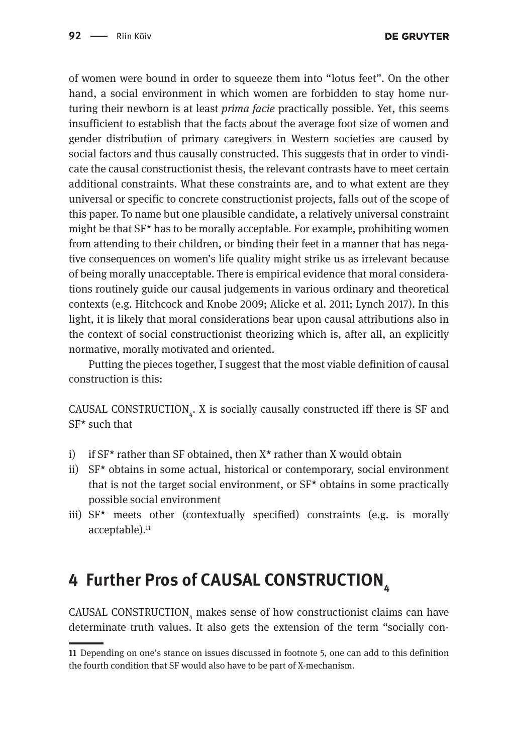of women were bound in order to squeeze them into "lotus feet". On the other hand, a social environment in which women are forbidden to stay home nurturing their newborn is at least *prima facie* practically possible. Yet, this seems insufficient to establish that the facts about the average foot size of women and gender distribution of primary caregivers in Western societies are caused by social factors and thus causally constructed. This suggests that in order to vindicate the causal constructionist thesis, the relevant contrasts have to meet certain additional constraints. What these constraints are, and to what extent are they universal or specific to concrete constructionist projects, falls out of the scope of this paper. To name but one plausible candidate, a relatively universal constraint might be that SF\* has to be morally acceptable. For example, prohibiting women from attending to their children, or binding their feet in a manner that has negative consequences on women's life quality might strike us as irrelevant because of being morally unacceptable. There is empirical evidence that moral considerations routinely guide our causal judgements in various ordinary and theoretical contexts (e.g. Hitchcock and Knobe 2009; Alicke et al. 2011; Lynch 2017). In this light, it is likely that moral considerations bear upon causal attributions also in the context of social constructionist theorizing which is, after all, an explicitly normative, morally motivated and oriented.

Putting the pieces together, I suggest that the most viable definition of causal construction is this:

CAUSAL CONSTRUCTION<sub>4</sub>. X is socially causally constructed iff there is SF and SF\* such that

- i) if  $SF<sup>*</sup>$  rather than SF obtained, then  $X<sup>*</sup>$  rather than X would obtain
- ii) SF\* obtains in some actual, historical or contemporary, social environment that is not the target social environment, or  $SF<sup>*</sup>$  obtains in some practically possible social environment
- iii)  $SF^*$  meets other (contextually specified) constraints (e.g. is morally acceptable).<sup>11</sup>

## **4 Further Pros of CAUSAL CONSTRUCTION**

CAUSAL CONSTRUCTION $_{\scriptscriptstyle 4}$  makes sense of how constructionist claims can have determinate truth values. It also gets the extension of the term "socially con-

**<sup>11</sup>** Depending on one's stance on issues discussed in footnote 5, one can add to this definition the fourth condition that SF would also have to be part of X-mechanism.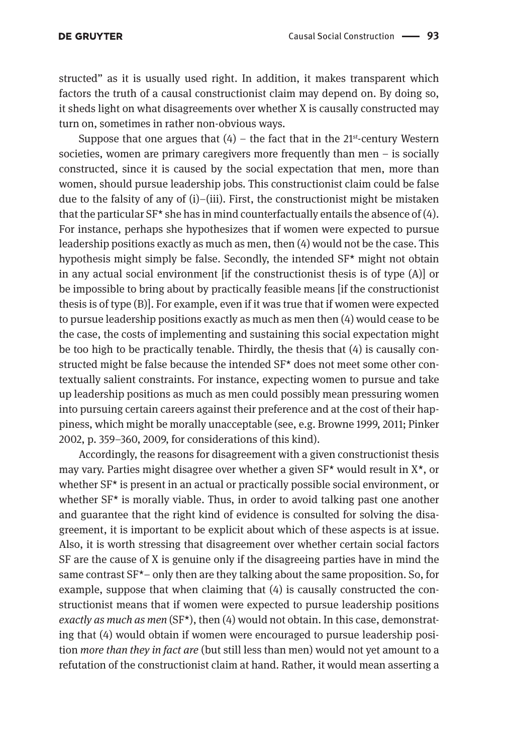structed" as it is usually used right. In addition, it makes transparent which factors the truth of a causal constructionist claim may depend on. By doing so, it sheds light on what disagreements over whether X is causally constructed may turn on, sometimes in rather non-obvious ways.

Suppose that one argues that  $(4)$  – the fact that in the 21<sup>st</sup>-century Western societies, women are primary caregivers more frequently than men – is socially constructed, since it is caused by the social expectation that men, more than women, should pursue leadership jobs. This constructionist claim could be false due to the falsity of any of  $(i)$ –(iii). First, the constructionist might be mistaken that the particular SF\* she has in mind counterfactually entails the absence of (4). For instance, perhaps she hypothesizes that if women were expected to pursue leadership positions exactly as much as men, then (4) would not be the case. This hypothesis might simply be false. Secondly, the intended SF\* might not obtain in any actual social environment [if the constructionist thesis is of type (A)] or be impossible to bring about by practically feasible means [if the constructionist thesis is of type (B)]. For example, even if it was true that if women were expected to pursue leadership positions exactly as much as men then (4) would cease to be the case, the costs of implementing and sustaining this social expectation might be too high to be practically tenable. Thirdly, the thesis that (4) is causally constructed might be false because the intended SF\* does not meet some other contextually salient constraints. For instance, expecting women to pursue and take up leadership positions as much as men could possibly mean pressuring women into pursuing certain careers against their preference and at the cost of their happiness, which might be morally unacceptable (see, e.g. Browne 1999, 2011; Pinker 2002, p. 359–360, 2009, for considerations of this kind).

Accordingly, the reasons for disagreement with a given constructionist thesis may vary. Parties might disagree over whether a given  $SF<sup>*</sup>$  would result in  $X<sup>*</sup>$ , or whether SF<sup>\*</sup> is present in an actual or practically possible social environment, or whether  $SF^*$  is morally viable. Thus, in order to avoid talking past one another and guarantee that the right kind of evidence is consulted for solving the disagreement, it is important to be explicit about which of these aspects is at issue. Also, it is worth stressing that disagreement over whether certain social factors SF are the cause of X is genuine only if the disagreeing parties have in mind the same contrast SF\*– only then are they talking about the same proposition. So, for example, suppose that when claiming that (4) is causally constructed the constructionist means that if women were expected to pursue leadership positions *exactly as much as men* (SF\*), then (4) would not obtain. In this case, demonstrating that (4) would obtain if women were encouraged to pursue leadership position *more than they in fact are* (but still less than men) would not yet amount to a refutation of the constructionist claim at hand. Rather, it would mean asserting a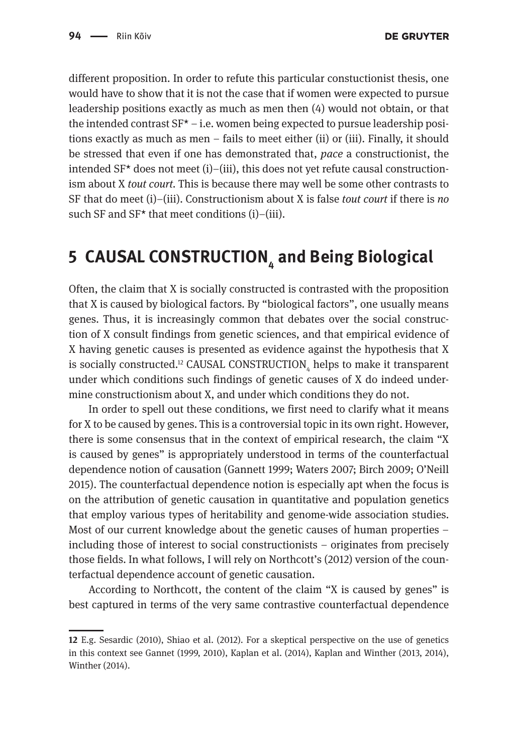different proposition. In order to refute this particular constuctionist thesis, one would have to show that it is not the case that if women were expected to pursue leadership positions exactly as much as men then (4) would not obtain, or that the intended contrast  $SF^* - i.e.$  women being expected to pursue leadership positions exactly as much as men – fails to meet either (ii) or (iii). Finally, it should be stressed that even if one has demonstrated that, *pace* a constructionist, the intended  $SF<sup>*</sup>$  does not meet (i)–(iii), this does not yet refute causal constructionism about X *tout court.* This is because there may well be some other contrasts to SF that do meet (i)–(iii). Constructionism about X is false *tout court* if there is *no* such SF and  $SF<sup>*</sup>$  that meet conditions (i)–(iii).

# **5 CAUSAL CONSTRUCTION4 and Being Biological**

Often, the claim that X is socially constructed is contrasted with the proposition that X is caused by biological factors. By "biological factors", one usually means genes. Thus, it is increasingly common that debates over the social construction of X consult findings from genetic sciences, and that empirical evidence of X having genetic causes is presented as evidence against the hypothesis that X is socially constructed.<sup>12</sup> CAUSAL CONSTRUCTION<sub>4</sub> helps to make it transparent under which conditions such findings of genetic causes of X do indeed undermine constructionism about X, and under which conditions they do not.

In order to spell out these conditions, we first need to clarify what it means for X to be caused by genes. This is a controversial topic in its own right. However, there is some consensus that in the context of empirical research, the claim "X is caused by genes" is appropriately understood in terms of the counterfactual dependence notion of causation (Gannett 1999; Waters 2007; Birch 2009; O'Neill 2015). The counterfactual dependence notion is especially apt when the focus is on the attribution of genetic causation in quantitative and population genetics that employ various types of heritability and genome-wide association studies. Most of our current knowledge about the genetic causes of human properties – including those of interest to social constructionists – originates from precisely those fields. In what follows, I will rely on Northcott's (2012) version of the counterfactual dependence account of genetic causation.

According to Northcott, the content of the claim "X is caused by genes" is best captured in terms of the very same contrastive counterfactual dependence

**<sup>12</sup>** E.g. Sesardic (2010), Shiao et al. (2012). For a skeptical perspective on the use of genetics in this context see Gannet (1999, 2010), Kaplan et al. (2014), Kaplan and Winther (2013, 2014), Winther (2014).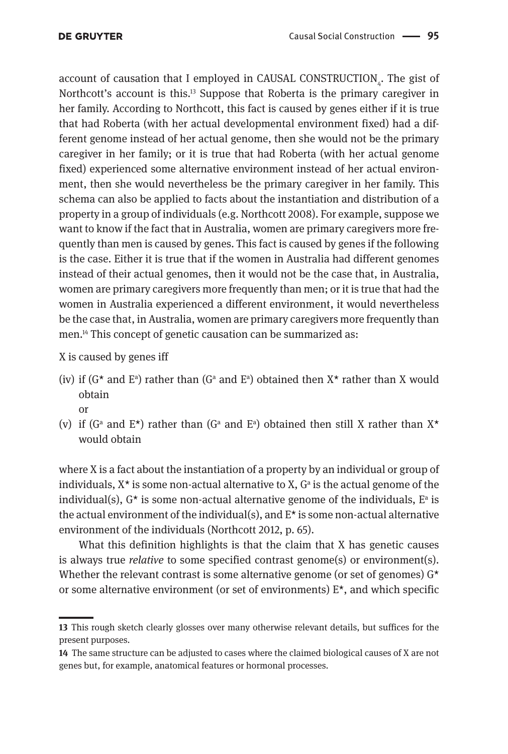account of causation that I employed in CAUSAL CONSTRUCTION $_{_4}$ . The gist of Northcott's account is this.<sup>13</sup> Suppose that Roberta is the primary caregiver in her family. According to Northcott, this fact is caused by genes either if it is true that had Roberta (with her actual developmental environment fixed) had a different genome instead of her actual genome, then she would not be the primary caregiver in her family; or it is true that had Roberta (with her actual genome fixed) experienced some alternative environment instead of her actual environment, then she would nevertheless be the primary caregiver in her family. This schema can also be applied to facts about the instantiation and distribution of a property in a group of individuals (e.g. Northcott 2008). For example, suppose we want to know if the fact that in Australia, women are primary caregivers more frequently than men is caused by genes. This fact is caused by genes if the following is the case. Either it is true that if the women in Australia had different genomes instead of their actual genomes, then it would not be the case that, in Australia, women are primary caregivers more frequently than men; or it is true that had the women in Australia experienced a different environment, it would nevertheless be the case that, in Australia, women are primary caregivers more frequently than men.14 This concept of genetic causation can be summarized as:

X is caused by genes iff

- (iv) if ( $G^*$  and  $E^a$ ) rather than ( $G^a$  and  $E^a$ ) obtained then  $X^*$  rather than X would obtain or
- (v) if (G<sup>a</sup> and E<sup>\*</sup>) rather than (G<sup>a</sup> and E<sup>a</sup>) obtained then still X rather than  $X^*$ would obtain

where X is a fact about the instantiation of a property by an individual or group of individuals,  $X^*$  is some non-actual alternative to  $X$ ,  $G^a$  is the actual genome of the individual(s),  $G^*$  is some non-actual alternative genome of the individuals,  $E^a$  is the actual environment of the individual(s), and  $E^*$  is some non-actual alternative environment of the individuals (Northcott 2012, p. 65).

What this definition highlights is that the claim that X has genetic causes is always true *relative* to some specified contrast genome(s) or environment(s). Whether the relevant contrast is some alternative genome (or set of genomes)  $G^*$ or some alternative environment (or set of environments)  $E^*$ , and which specific

**<sup>13</sup>** This rough sketch clearly glosses over many otherwise relevant details, but suffices for the present purposes.

**<sup>14</sup>** The same structure can be adjusted to cases where the claimed biological causes of X are not genes but, for example, anatomical features or hormonal processes.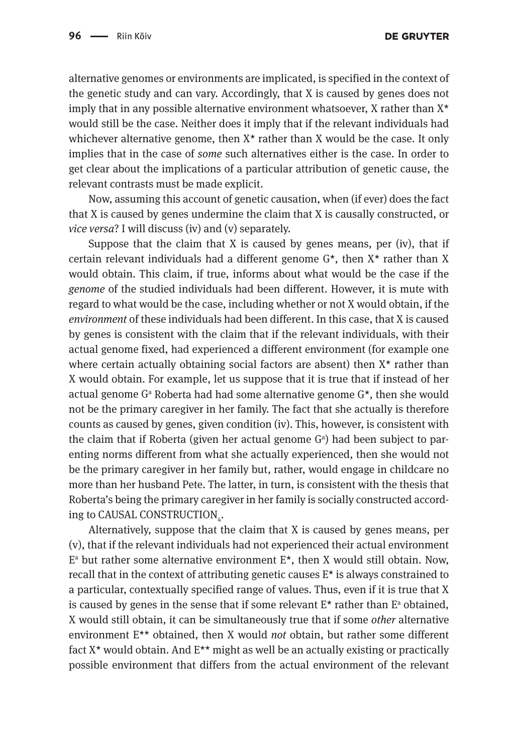alternative genomes or environments are implicated, is specified in the context of the genetic study and can vary. Accordingly, that X is caused by genes does not imply that in any possible alternative environment whatsoever,  $X$  rather than  $X^*$ would still be the case. Neither does it imply that if the relevant individuals had whichever alternative genome, then  $X^*$  rather than X would be the case. It only implies that in the case of *some* such alternatives either is the case. In order to get clear about the implications of a particular attribution of genetic cause, the relevant contrasts must be made explicit.

Now, assuming this account of genetic causation, when (if ever) does the fact that X is caused by genes undermine the claim that X is causally constructed, or *vice versa*? I will discuss (iv) and (v) separately.

Suppose that the claim that X is caused by genes means, per (iv), that if certain relevant individuals had a different genome G\*, then X\* rather than X would obtain. This claim, if true, informs about what would be the case if the *genome* of the studied individuals had been different. However, it is mute with regard to what would be the case, including whether or not X would obtain, if the *environment* of these individuals had been different. In this case, that X is caused by genes is consistent with the claim that if the relevant individuals, with their actual genome fixed, had experienced a different environment (for example one where certain actually obtaining social factors are absent) then  $X^*$  rather than X would obtain. For example, let us suppose that it is true that if instead of her actual genome G<sup>a</sup> Roberta had had some alternative genome G\*, then she would not be the primary caregiver in her family. The fact that she actually is therefore counts as caused by genes, given condition (iv). This, however, is consistent with the claim that if Roberta (given her actual genome  $G<sup>a</sup>$ ) had been subject to parenting norms different from what she actually experienced, then she would not be the primary caregiver in her family but, rather, would engage in childcare no more than her husband Pete. The latter, in turn, is consistent with the thesis that Roberta's being the primary caregiver in her family is socially constructed according to CAUSAL CONSTRUCTION $_{\rm 4}$ .

Alternatively, suppose that the claim that X is caused by genes means, per (v), that if the relevant individuals had not experienced their actual environment  $E<sup>a</sup>$  but rather some alternative environment  $E<sup>*</sup>$ , then X would still obtain. Now, recall that in the context of attributing genetic causes  $E^*$  is always constrained to a particular, contextually specified range of values. Thus, even if it is true that X is caused by genes in the sense that if some relevant  $E^*$  rather than  $E^a$  obtained, X would still obtain, it can be simultaneously true that if some *other* alternative environment E\*\* obtained, then X would *not* obtain, but rather some different fact  $X^*$  would obtain. And  $E^{**}$  might as well be an actually existing or practically possible environment that differs from the actual environment of the relevant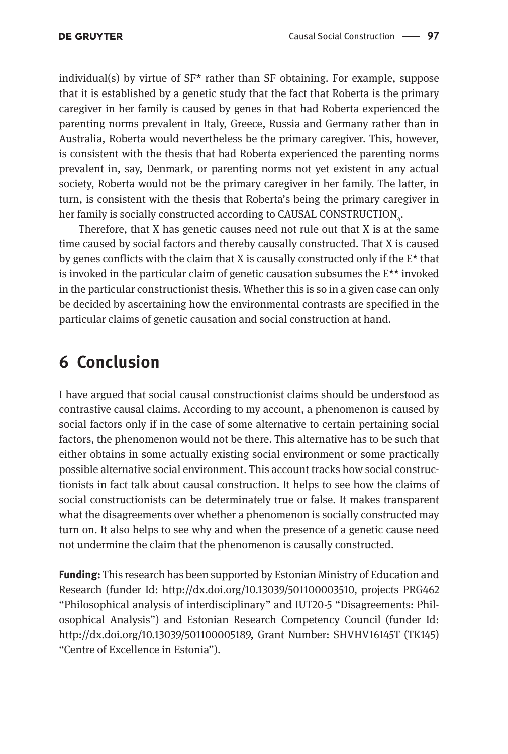individual(s) by virtue of  $SF<sup>*</sup>$  rather than SF obtaining. For example, suppose that it is established by a genetic study that the fact that Roberta is the primary caregiver in her family is caused by genes in that had Roberta experienced the parenting norms prevalent in Italy, Greece, Russia and Germany rather than in Australia, Roberta would nevertheless be the primary caregiver. This, however, is consistent with the thesis that had Roberta experienced the parenting norms prevalent in, say, Denmark, or parenting norms not yet existent in any actual society, Roberta would not be the primary caregiver in her family. The latter, in turn, is consistent with the thesis that Roberta's being the primary caregiver in her family is socially constructed according to CAUSAL CONSTRUCTION $_{\textrm{\tiny{4}}}$ .

Therefore, that X has genetic causes need not rule out that X is at the same time caused by social factors and thereby causally constructed. That X is caused by genes conflicts with the claim that X is causally constructed only if the  $E^*$  that is invoked in the particular claim of genetic causation subsumes the E\*\* invoked in the particular constructionist thesis. Whether this is so in a given case can only be decided by ascertaining how the environmental contrasts are specified in the particular claims of genetic causation and social construction at hand.

### **6 Conclusion**

I have argued that social causal constructionist claims should be understood as contrastive causal claims. According to my account, a phenomenon is caused by social factors only if in the case of some alternative to certain pertaining social factors, the phenomenon would not be there. This alternative has to be such that either obtains in some actually existing social environment or some practically possible alternative social environment. This account tracks how social constructionists in fact talk about causal construction. It helps to see how the claims of social constructionists can be determinately true or false. It makes transparent what the disagreements over whether a phenomenon is socially constructed may turn on. It also helps to see why and when the presence of a genetic cause need not undermine the claim that the phenomenon is causally constructed.

**Funding:** This research has been supported by Estonian Ministry of Education and Research (funder Id: <http://dx.doi.org/10.13039/501100003510>, projects PRG462 "Philosophical analysis of interdisciplinary" and IUT20-5 "Disagreements: Philosophical Analysis") and Estonian Research Competency Council (funder Id: [http://dx.doi.org/10.13039/501100005189,](http://dx.doi.org/10.13039/501100005189) Grant Number: SHVHV16145T (TK145) "Centre of Excellence in Estonia").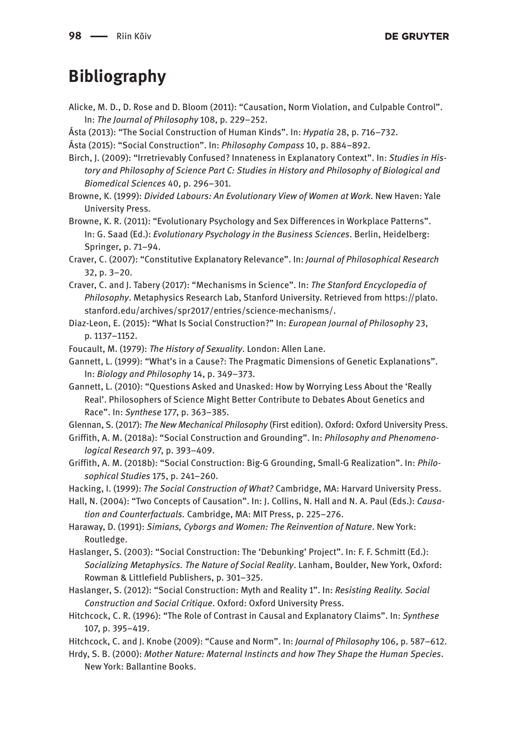### **Bibliography**

- Alicke, M. D., D. Rose and D. Bloom (2011): "Causation, Norm Violation, and Culpable Control". In: *The Journal of Philosophy* 108, p. 229–252.
- Ásta (2013): "The Social Construction of Human Kinds". In: *Hypatia* 28, p. 716–732.
- Ásta (2015): "Social Construction". In: *Philosophy Compass* 10, p. 884–892.
- Birch, J. (2009): "Irretrievably Confused? Innateness in Explanatory Context". In: *Studies in History and Philosophy of Science Part C: Studies in History and Philosophy of Biological and Biomedical Sciences* 40, p. 296–301.
- Browne, K. (1999): *Divided Labours: An Evolutionary View of Women at Work*. New Haven: Yale University Press.
- Browne, K. R. (2011): "Evolutionary Psychology and Sex Differences in Workplace Patterns". In: G. Saad (Ed.): *Evolutionary Psychology in the Business Sciences*. Berlin, Heidelberg: Springer, p. 71–94.
- Craver, C. (2007): "Constitutive Explanatory Relevance". In: *Journal of Philosophical Research* 32, p. 3–20.
- Craver, C. and J. Tabery (2017): "Mechanisms in Science". In: *The Stanford Encyclopedia of Philosophy*. Metaphysics Research Lab, Stanford University. Retrieved from [https://plato.](https://plato.stanford.edu/archives/spr2017/entries/science-mechanisms/) [stanford.edu/archives/spr2017/entries/science-mechanisms/](https://plato.stanford.edu/archives/spr2017/entries/science-mechanisms/).
- Diaz-Leon, E. (2015): "What Is Social Construction?" In: *European Journal of Philosophy* 23, p. 1137–1152.
- Foucault, M. (1979): *The History of Sexuality*. London: Allen Lane.

Gannett, L. (1999): "What's in a Cause?: The Pragmatic Dimensions of Genetic Explanations". In: *Biology and Philosophy* 14, p. 349–373.

Gannett, L. (2010): "Questions Asked and Unasked: How by Worrying Less About the 'Really Real'. Philosophers of Science Might Better Contribute to Debates About Genetics and Race". In: *Synthese* 177, p. 363–385.

Glennan, S. (2017): *The New Mechanical Philosophy* (First edition). Oxford: Oxford University Press.

- Griffith, A. M. (2018a): "Social Construction and Grounding". In: *Philosophy and Phenomenological Research* 97, p. 393–409.
- Griffith, A. M. (2018b): "Social Construction: Big-G Grounding, Small-G Realization". In: *Philosophical Studies* 175, p. 241–260.

Hacking, I. (1999): *The Social Construction of What?* Cambridge, MA: Harvard University Press.

Hall, N. (2004): "Two Concepts of Causation". In: J. Collins, N. Hall and N. A. Paul (Eds.): *Causation and Counterfactuals.* Cambridge, MA: MIT Press, p. 225–276.

- Haraway, D. (1991): *Simians, Cyborgs and Women: The Reinvention of Nature*. New York: Routledge.
- Haslanger, S. (2003): "Social Construction: The 'Debunking' Project". In: F. F. Schmitt (Ed.): *Socializing Metaphysics. The Nature of Social Reality*. Lanham, Boulder, New York, Oxford: Rowman & Littlefield Publishers, p. 301–325.
- Haslanger, S. (2012): "Social Construction: Myth and Reality 1". In: *Resisting Reality. Social Construction and Social Critique*. Oxford: Oxford University Press.
- Hitchcock, C. R. (1996): "The Role of Contrast in Causal and Explanatory Claims". In: *Synthese* 107, p. 395–419.
- Hitchcock, C. and J. Knobe (2009): "Cause and Norm". In: *Journal of Philosophy* 106, p. 587–612.
- Hrdy, S. B. (2000): *Mother Nature: Maternal Instincts and how They Shape the Human Species*. New York: Ballantine Books.